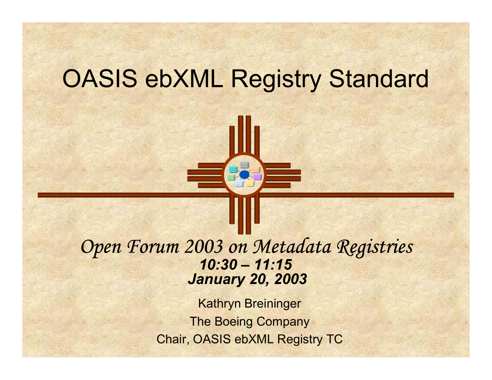#### OASIS ebXML Registry Standard

#### *Open Forum 2003 on Metadata Registries 10:30 – 11:15 January 20, 2003*

Kathryn Breininger The Boeing Company Chair, OASIS ebXML Registry TC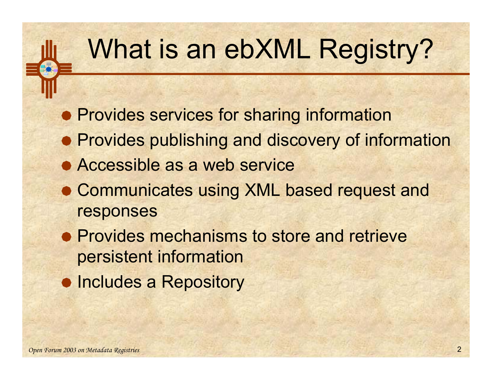# What is an ebXML Registry?

- Provides services for sharing information
- Provides publishing and discovery of information
- Accessible as a web service
- Communicates using XML based request and responses
- Provides mechanisms to store and retrieve persistent information
- Includes a Repository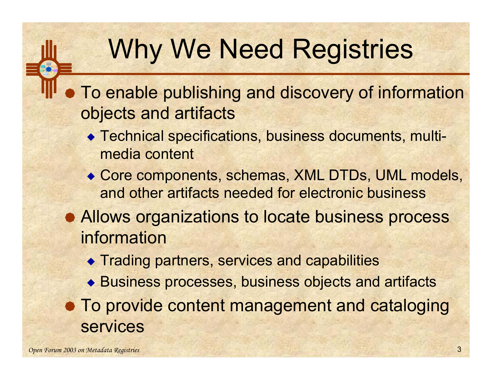# Why We Need Registries

● To enable publishing and discovery of information objects and artifacts

- Technical specifications, business documents, multimedia content
- Core components, schemas, XML DTDs, UML models, and other artifacts needed for electronic business
- Allows organizations to locate business process information
	- **Trading partners, services and capabilities**
	- ¡ Business processes, business objects and artifacts
- § To provide content management and cataloging services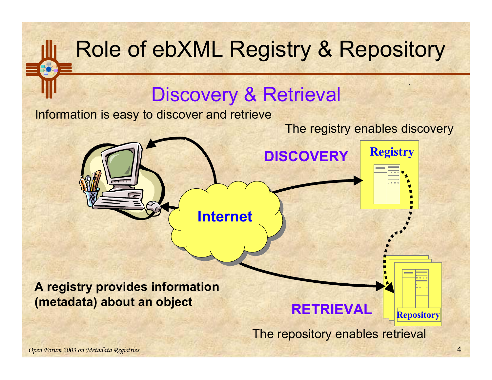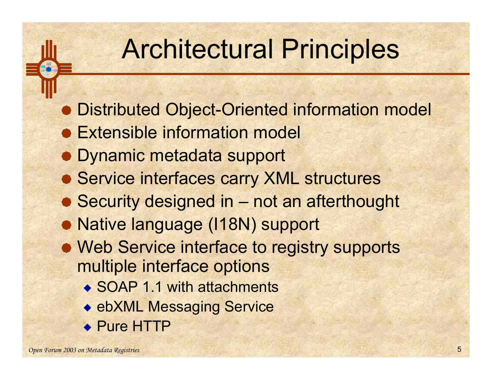#### Architectural Principles

- § Distributed Object-Oriented information model
- Extensible information model
- Dynamic metadata support
- Service interfaces carry XML structures
- Security designed in not an afterthought
- § Native language (I18N) support
- Web Service interface to registry supports multiple interface options
	- SOAP 1.1 with attachments
	- ebXML Messaging Service
	- $\bullet$  Pure HTTP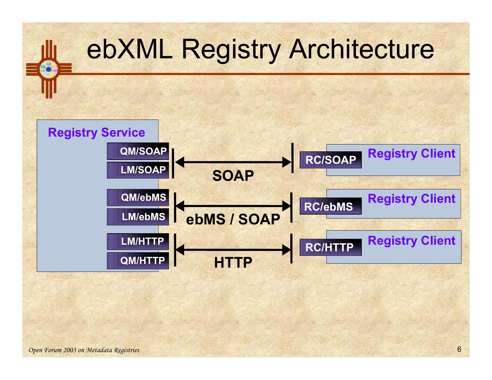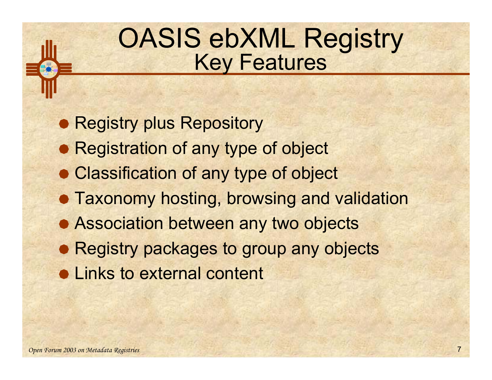#### OASIS ebXML Registry Key Features

● Registry plus Repository ● Registration of any type of object ● Classification of any type of object ● Taxonomy hosting, browsing and validation ● Association between any two objects ● Registry packages to group any objects ● Links to external content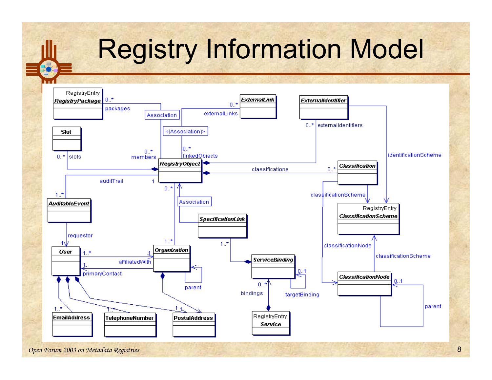# Registry Information Model

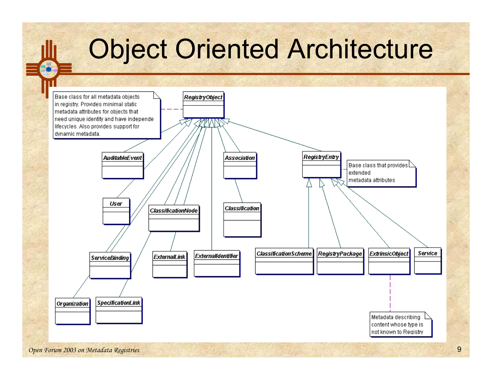### Object Oriented Architecture

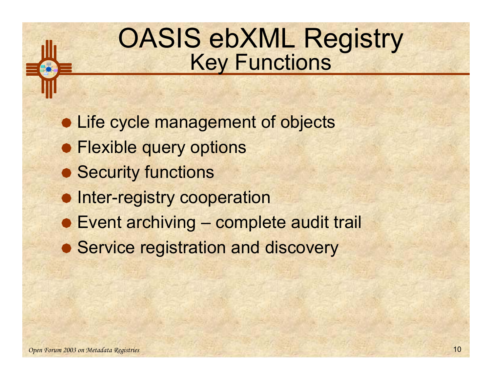#### OASIS ebXML Registry Key Functions

§ Life cycle management of objects

- Flexible query options
- Security functions
- Inter-registry cooperation
- Event archiving complete audit trail
- Service registration and discovery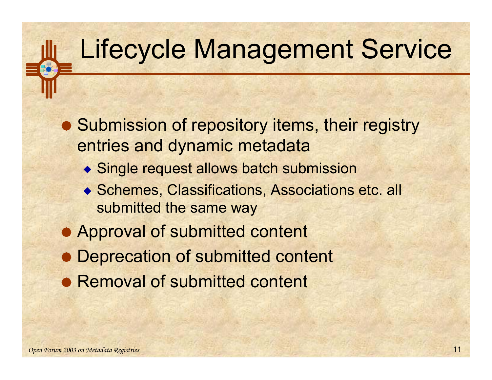#### Lifecycle Management Service

- Submission of repository items, their registry entries and dynamic metadata
	- Single request allows batch submission
	- Schemes, Classifications, Associations etc. all submitted the same way
- Approval of submitted content
- §Deprecation of submitted content
- Removal of submitted content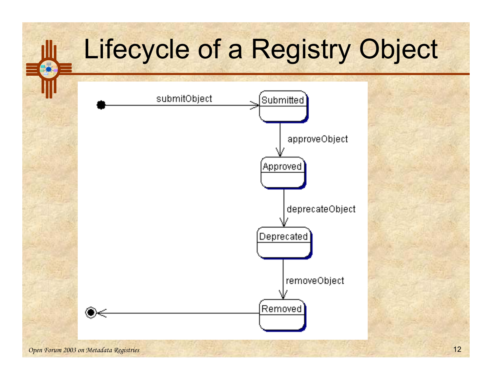# Lifecycle of a Registry Object

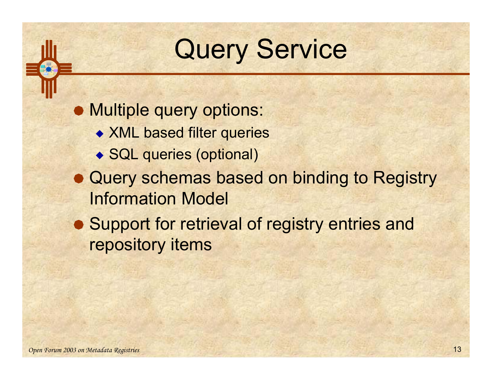#### Query Service

• Multiple query options: • XML based filter queries ◆ SQL queries (optional) ● Query schemas based on binding to Registry Information Model ● Support for retrieval of registry entries and repository items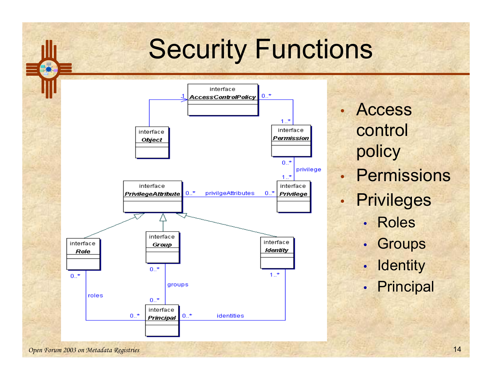#### **Security Functions**



 Access control policy •Permissions

•**Privileges** 

•

- •Roles
- •Groups
- •• Identity
- •• Principal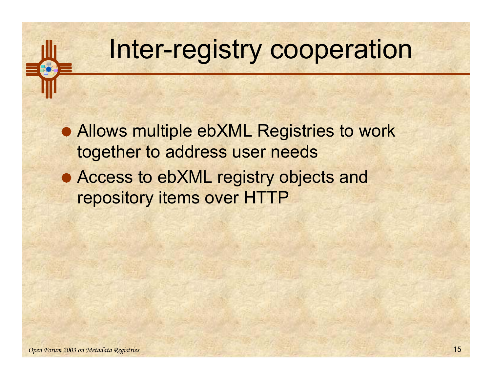#### Inter-registry cooperation

● Allows multiple ebXML Registries to work together to address user needs

● Access to ebXML registry objects and repository items over HTTP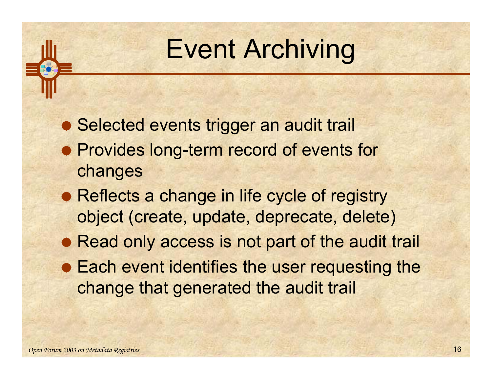# Event Archiving

- Selected events trigger an audit trail
- Provides long-term record of events for changes
- Reflects a change in life cycle of registry object (create, update, deprecate, delete)
- Read only access is not part of the audit trail
- Each event identifies the user requesting the change that generated the audit trail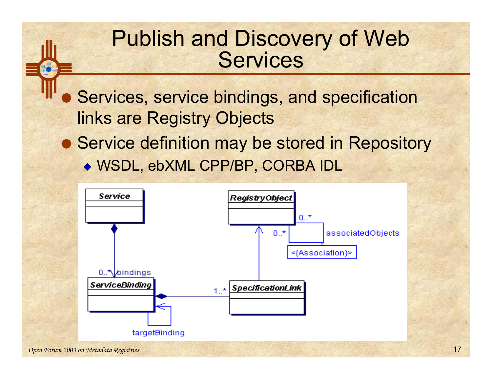#### Publish and Discovery of Web Services

 Services, service bindings, and specification links are Registry Objects

● Service definition may be stored in Repository ◆ WSDL, ebXML CPP/BP, CORBA IDL



§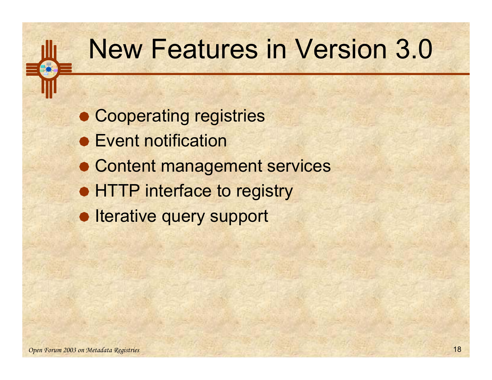#### New Features in Version 3.0

- Cooperating registries
- Event notification
- § Content management services
- HTTP interface to registry
- Iterative query support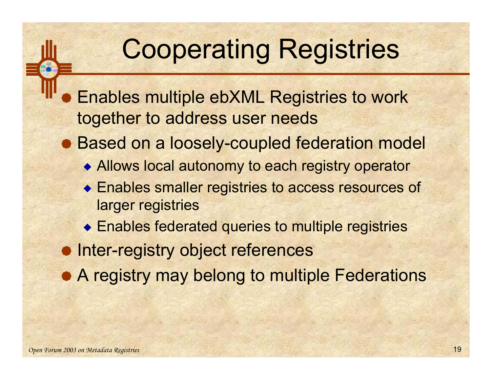#### Cooperating Registries

§ Enables multiple ebXML Registries to work together to address user needs

● Based on a loosely-coupled federation model

- Allows local autonomy to each registry operator
- **Enables smaller registries to access resources of** larger registries
- **Enables federated queries to multiple registries**
- § Inter-registry object references
- A registry may belong to multiple Federations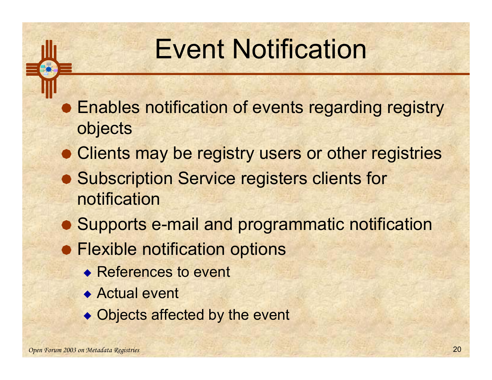### Event Notification

- Enables notification of events regarding registry objects
- Clients may be registry users or other registries
- Subscription Service registers clients for notification
- Supports e-mail and programmatic notification
- § Flexible notification options
	- References to event
	- ◆ Actual event
	- Objects affected by the event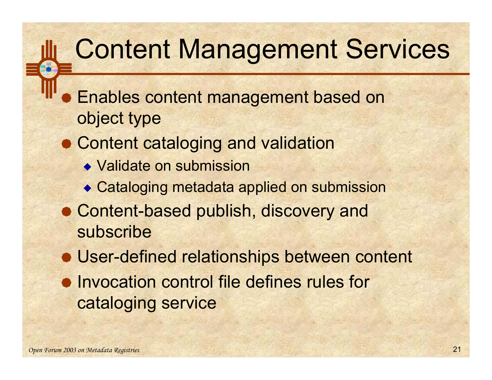# Content Management Services

§ Enables content management based on object type

● Content cataloging and validation

- Validate on submission
- Cataloging metadata applied on submission
- Content-based publish, discovery and subscribe
- User-defined relationships between content ● Invocation control file defines rules for cataloging service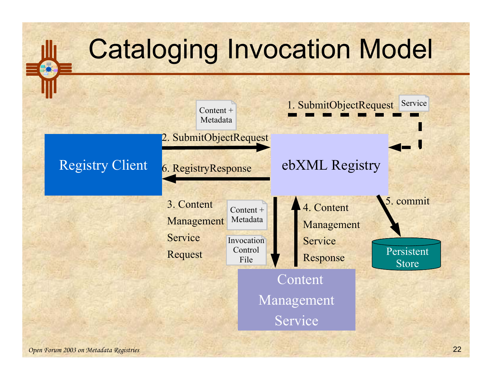# Cataloging Invocation Model

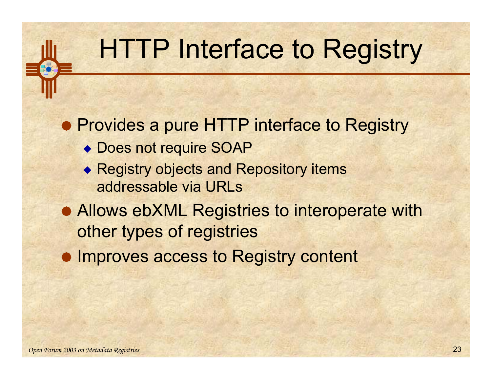# HTTP Interface to Registry

● Provides a pure HTTP interface to Registry

- Does not require SOAP
- ◆ Registry objects and Repository items addressable via URLs
- Allows ebXML Registries to interoperate with other types of registries

● Improves access to Registry content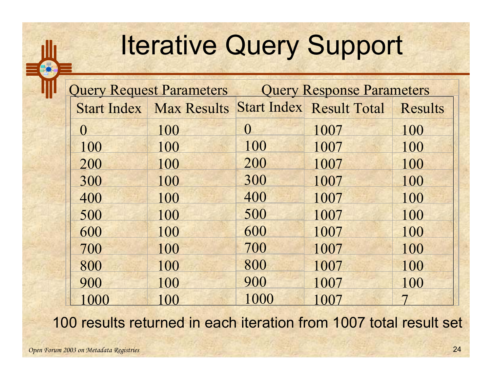### Iterative Query Support

| <b>Query Request Parameters</b> |     | <b>Query Response Parameters</b> |                                                          |     |
|---------------------------------|-----|----------------------------------|----------------------------------------------------------|-----|
|                                 |     |                                  | Start Index Max Results Start Index Result Total Results |     |
| $\overline{0}$                  | 100 | $\overline{0}$                   | 1007                                                     | 100 |
| 100                             | 100 | 100                              | 1007                                                     | 100 |
| 200                             | 100 | 200                              | 1007                                                     | 100 |
| 300                             | 100 | 300                              | 1007                                                     | 100 |
| 400                             | 100 | 400                              | 1007                                                     | 100 |
| 500                             | 100 | 500                              | 1007                                                     | 100 |
| 600                             | 100 | 600                              | 1007                                                     | 100 |
| 700                             | 100 | 700                              | 1007                                                     | 100 |
| 800                             | 100 | 800                              | 1007                                                     | 100 |
| 900                             | 100 | 900                              | 1007                                                     | 100 |
| 1000                            | 100 | 1000                             | 1007                                                     |     |

100 results returned in each iteration from 1007 total result set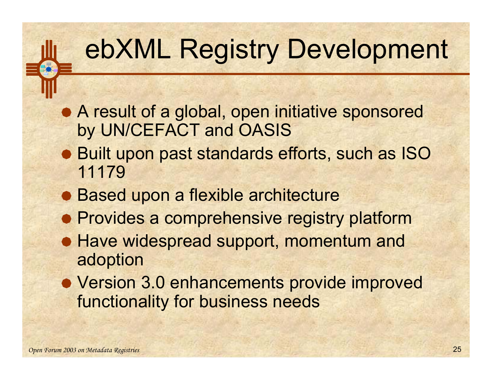# ebXML Registry Development

- A result of a global, open initiative sponsored by UN/CEFACT and OASIS
- Built upon past standards efforts, such as ISO 11179
- Based upon a flexible architecture
- Provides a comprehensive registry platform
- Have widespread support, momentum and adoption
- Version 3.0 enhancements provide improved functionality for business needs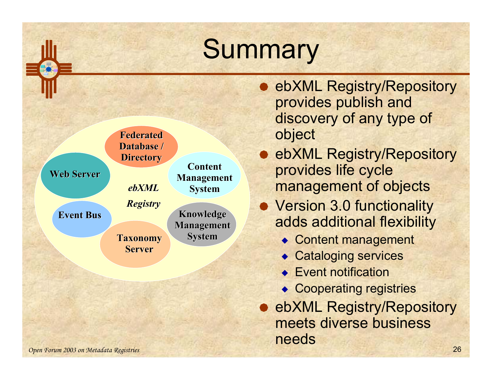# **Summary**

|                   | <b>Federated</b> |                   |
|-------------------|------------------|-------------------|
|                   | Database /       |                   |
|                   | <b>Directory</b> |                   |
|                   |                  | <b>Content</b>    |
| <b>Web Server</b> |                  | <b>Management</b> |
|                   | ebXML            | <b>System</b>     |
|                   | <b>Registry</b>  |                   |
| <b>Event Bus</b>  |                  | <b>Knowledge</b>  |
|                   |                  | <b>Management</b> |
|                   | <b>Taxonomy</b>  | <b>System</b>     |
|                   | <b>Server</b>    |                   |
|                   |                  |                   |

#### ● ebXML Registry/Repository provides publish and discovery of any type of object

- ebXML Registry/Repository provides life cycle management of objects
- Version 3.0 functionality adds additional flexibility
	- Content management
	- Cataloging services
	- $\bullet$  Event notification
	- Cooperating registries
- ebXML Registry/Repository meets diverse business needs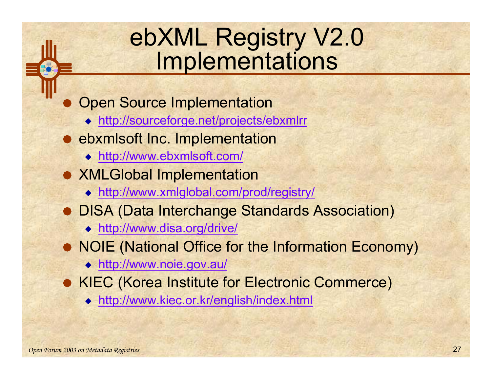#### ebXML Registry V2.0 **Implementations**

- §**Open Source Implementation** 
	- http://sourceforge.net/projects/ebxmlrr
- ebxmlsoft Inc. Implementation
	- ◆ <u>http://www.ebxmlsoft.com/</u>
- XMLGlobal Implementation
	- http://www.xmlglobal.com/prod/registry/
- DISA (Data Interchange Standards Association)
	- http://www.disa.org/drive/
- NOIE (National Office for the Information Economy)
	- http://www.noie.gov.au/
- KIEC (Korea Institute for Electronic Commerce)
	- http://www.kiec.or.kr/english/index.html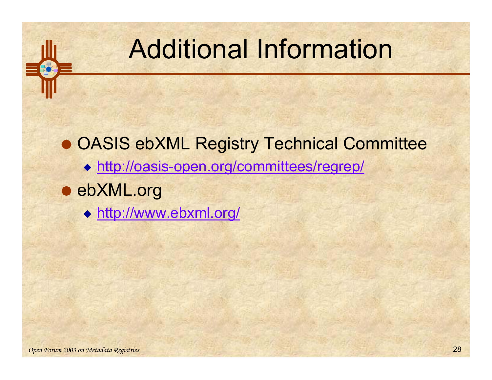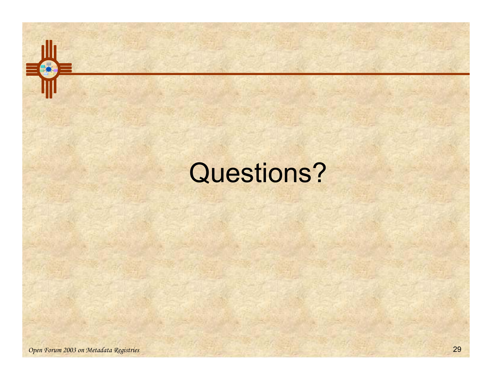

#### Questions?